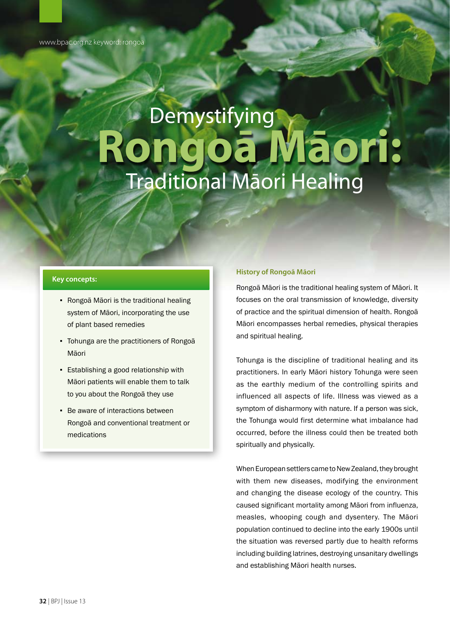# **Demystifying Rongoā Māori:**  Traditional Māori Healing

# **Key concepts:**

- Rongoā Māori is the traditional healing system of Māori, incorporating the use of plant based remedies
- Tohunga are the practitioners of Rongoā Māori
- Establishing a good relationship with Māori patients will enable them to talk to you about the Rongoā they use
- **Be aware of interactions between** Rongoā and conventional treatment or medications

#### **History of Rongoā Māori**

Rongoā Māori is the traditional healing system of Māori. It focuses on the oral transmission of knowledge, diversity of practice and the spiritual dimension of health. Rongoā Māori encompasses herbal remedies, physical therapies and spiritual healing.

Tohunga is the discipline of traditional healing and its practitioners. In early Māori history Tohunga were seen as the earthly medium of the controlling spirits and influenced all aspects of life. Illness was viewed as a symptom of disharmony with nature. If a person was sick, the Tohunga would first determine what imbalance had occurred, before the illness could then be treated both spiritually and physically.

When European settlers came to New Zealand, they brought with them new diseases, modifying the environment and changing the disease ecology of the country. This caused significant mortality among Māori from influenza, measles, whooping cough and dysentery. The Māori population continued to decline into the early 1900s until the situation was reversed partly due to health reforms including building latrines, destroying unsanitary dwellings and establishing Māori health nurses.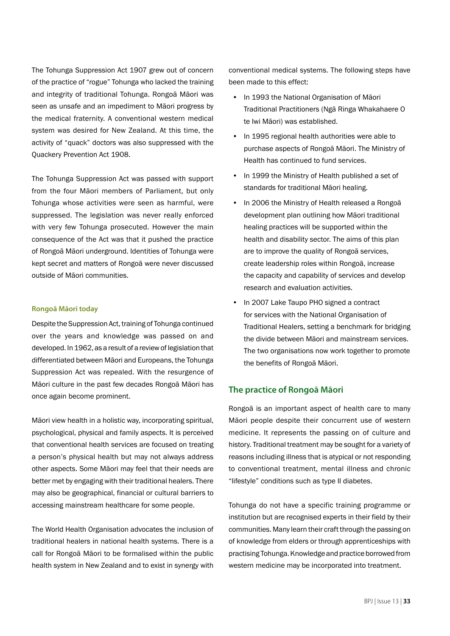The Tohunga Suppression Act 1907 grew out of concern of the practice of "rogue" Tohunga who lacked the training and integrity of traditional Tohunga. Rongoā Māori was seen as unsafe and an impediment to Māori progress by the medical fraternity. A conventional western medical system was desired for New Zealand. At this time, the activity of "quack" doctors was also suppressed with the Quackery Prevention Act 1908.

The Tohunga Suppression Act was passed with support from the four Māori members of Parliament, but only Tohunga whose activities were seen as harmful, were suppressed. The legislation was never really enforced with very few Tohunga prosecuted. However the main consequence of the Act was that it pushed the practice of Rongoā Māori underground. Identities of Tohunga were kept secret and matters of Rongoā were never discussed outside of Māori communities.

#### **Rongoā Māori today**

Despite the Suppression Act, training of Tohunga continued over the years and knowledge was passed on and developed. In 1962, as a result of a review of legislation that differentiated between Māori and Europeans, the Tohunga Suppression Act was repealed. With the resurgence of Māori culture in the past few decades Rongoā Māori has once again become prominent.

Māori view health in a holistic way, incorporating spiritual, psychological, physical and family aspects. It is perceived that conventional health services are focused on treating a person's physical health but may not always address other aspects. Some Māori may feel that their needs are better met by engaging with their traditional healers. There may also be geographical, financial or cultural barriers to accessing mainstream healthcare for some people.

The World Health Organisation advocates the inclusion of traditional healers in national health systems. There is a call for Rongoā Māori to be formalised within the public health system in New Zealand and to exist in synergy with conventional medical systems. The following steps have been made to this effect:

- In 1993 the National Organisation of Māori Traditional Practitioners (Ngā Ringa Whakahaere O te Iwi Māori) was established.
- In 1995 regional health authorities were able to purchase aspects of Rongoā Māori. The Ministry of Health has continued to fund services.
- In 1999 the Ministry of Health published a set of standards for traditional Māori healing.
- In 2006 the Ministry of Health released a Rongoā development plan outlining how Māori traditional healing practices will be supported within the health and disability sector. The aims of this plan are to improve the quality of Rongoā services, create leadership roles within Rongoā, increase the capacity and capability of services and develop research and evaluation activities.
- In 2007 Lake Taupo PHO signed a contract for services with the National Organisation of Traditional Healers, setting a benchmark for bridging the divide between Māori and mainstream services. The two organisations now work together to promote the benefits of Rongoā Māori.

### **The practice of Rongoā Māori**

Rongoā is an important aspect of health care to many Māori people despite their concurrent use of western medicine. It represents the passing on of culture and history. Traditional treatment may be sought for a variety of reasons including illness that is atypical or not responding to conventional treatment, mental illness and chronic "lifestyle" conditions such as type II diabetes.

Tohunga do not have a specific training programme or institution but are recognised experts in their field by their communities. Many learn their craft through the passing on of knowledge from elders or through apprenticeships with practising Tohunga. Knowledge and practice borrowed from western medicine may be incorporated into treatment.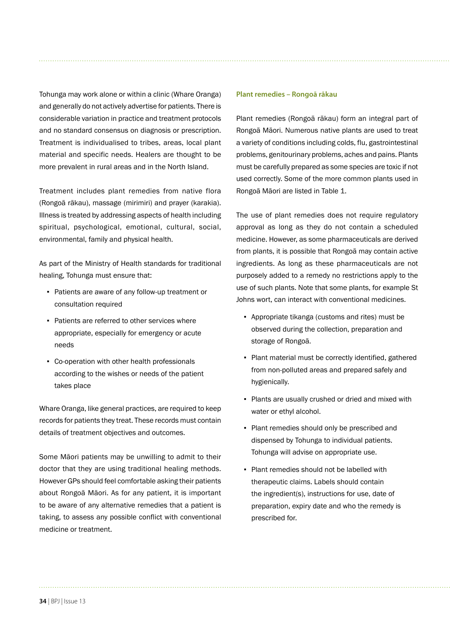Tohunga may work alone or within a clinic (Whare Oranga) and generally do not actively advertise for patients. There is considerable variation in practice and treatment protocols and no standard consensus on diagnosis or prescription. Treatment is individualised to tribes, areas, local plant material and specific needs. Healers are thought to be more prevalent in rural areas and in the North Island.

Treatment includes plant remedies from native flora (Rongoā rākau), massage (mirimiri) and prayer (karakia). Illness is treated by addressing aspects of health including spiritual, psychological, emotional, cultural, social, environmental, family and physical health.

As part of the Ministry of Health standards for traditional healing, Tohunga must ensure that:

- Patients are aware of any follow-up treatment or consultation required
- Patients are referred to other services where appropriate, especially for emergency or acute needs
- Co-operation with other health professionals according to the wishes or needs of the patient takes place

Whare Oranga, like general practices, are required to keep records for patients they treat. These records must contain details of treatment objectives and outcomes.

Some Māori patients may be unwilling to admit to their doctor that they are using traditional healing methods. However GPs should feel comfortable asking their patients about Rongoā Māori. As for any patient, it is important to be aware of any alternative remedies that a patient is taking, to assess any possible conflict with conventional medicine or treatment.

# **Plant remedies – Rongoā rākau**

Plant remedies (Rongoā rākau) form an integral part of Rongoā Māori. Numerous native plants are used to treat a variety of conditions including colds, flu, gastrointestinal problems, genitourinary problems, aches and pains. Plants must be carefully prepared as some species are toxic if not used correctly. Some of the more common plants used in Rongoā Māori are listed in Table 1.

The use of plant remedies does not require regulatory approval as long as they do not contain a scheduled medicine. However, as some pharmaceuticals are derived from plants, it is possible that Rongoā may contain active ingredients. As long as these pharmaceuticals are not purposely added to a remedy no restrictions apply to the use of such plants. Note that some plants, for example St Johns wort, can interact with conventional medicines.

- Appropriate tikanga (customs and rites) must be observed during the collection, preparation and storage of Rongoā.
- Plant material must be correctly identified, gathered from non-polluted areas and prepared safely and hygienically.
- Plants are usually crushed or dried and mixed with water or ethyl alcohol.
- Plant remedies should only be prescribed and dispensed by Tohunga to individual patients. Tohunga will advise on appropriate use.
- Plant remedies should not be labelled with therapeutic claims. Labels should contain the ingredient(s), instructions for use, date of preparation, expiry date and who the remedy is prescribed for.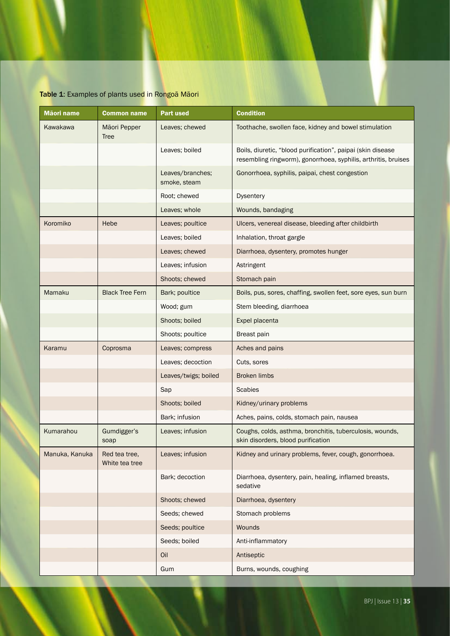# Table 1: Examples of plants used in Rongoā Māori

| Māori name     | <b>Common name</b>              | <b>Part used</b>                 | <b>Condition</b>                                                                                                              |
|----------------|---------------------------------|----------------------------------|-------------------------------------------------------------------------------------------------------------------------------|
| Kawakawa       | Māori Pepper<br><b>Tree</b>     | Leaves; chewed                   | Toothache, swollen face, kidney and bowel stimulation                                                                         |
|                |                                 | Leaves; boiled                   | Boils, diuretic, "blood purification", paipai (skin disease<br>resembling ringworm), gonorrhoea, syphilis, arthritis, bruises |
|                |                                 | Leaves/branches;<br>smoke, steam | Gonorrhoea, syphilis, paipai, chest congestion                                                                                |
|                |                                 | Root; chewed                     | Dysentery                                                                                                                     |
|                |                                 | Leaves; whole                    | Wounds, bandaging                                                                                                             |
| Koromiko       | Hebe                            | Leaves; poultice                 | Ulcers, venereal disease, bleeding after childbirth                                                                           |
|                |                                 | Leaves; boiled                   | Inhalation, throat gargle                                                                                                     |
|                |                                 | Leaves; chewed                   | Diarrhoea, dysentery, promotes hunger                                                                                         |
|                |                                 | Leaves; infusion                 | Astringent                                                                                                                    |
|                |                                 | Shoots; chewed                   | Stomach pain                                                                                                                  |
| Mamaku         | <b>Black Tree Fern</b>          | Bark; poultice                   | Boils, pus, sores, chaffing, swollen feet, sore eyes, sun burn                                                                |
|                |                                 | Wood; gum                        | Stem bleeding, diarrhoea                                                                                                      |
|                |                                 | Shoots; boiled                   | Expel placenta                                                                                                                |
|                |                                 | Shoots; poultice                 | Breast pain                                                                                                                   |
| Karamu         | Coprosma                        | Leaves; compress                 | Aches and pains                                                                                                               |
|                |                                 | Leaves; decoction                | Cuts, sores                                                                                                                   |
|                |                                 | Leaves/twigs; boiled             | <b>Broken limbs</b>                                                                                                           |
|                |                                 | Sap                              | <b>Scabies</b>                                                                                                                |
|                |                                 | Shoots; boiled                   | Kidney/urinary problems                                                                                                       |
|                |                                 | Bark; infusion                   | Aches, pains, colds, stomach pain, nausea                                                                                     |
| Kumarahou      | Gumdigger's<br>soap             | Leaves; infusion                 | Coughs, colds, asthma, bronchitis, tuberculosis, wounds,<br>skin disorders, blood purification                                |
| Manuka, Kanuka | Red tea tree,<br>White tea tree | Leaves; infusion                 | Kidney and urinary problems, fever, cough, gonorrhoea.                                                                        |
|                |                                 | Bark; decoction                  | Diarrhoea, dysentery, pain, healing, inflamed breasts,<br>sedative                                                            |
|                |                                 | Shoots; chewed                   | Diarrhoea, dysentery                                                                                                          |
|                |                                 | Seeds; chewed                    | Stomach problems                                                                                                              |
|                |                                 | Seeds; poultice                  | Wounds                                                                                                                        |
|                |                                 | Seeds; boiled                    | Anti-inflammatory                                                                                                             |
|                |                                 | Oil                              | Antiseptic                                                                                                                    |
|                |                                 | Gum                              | Burns, wounds, coughing                                                                                                       |